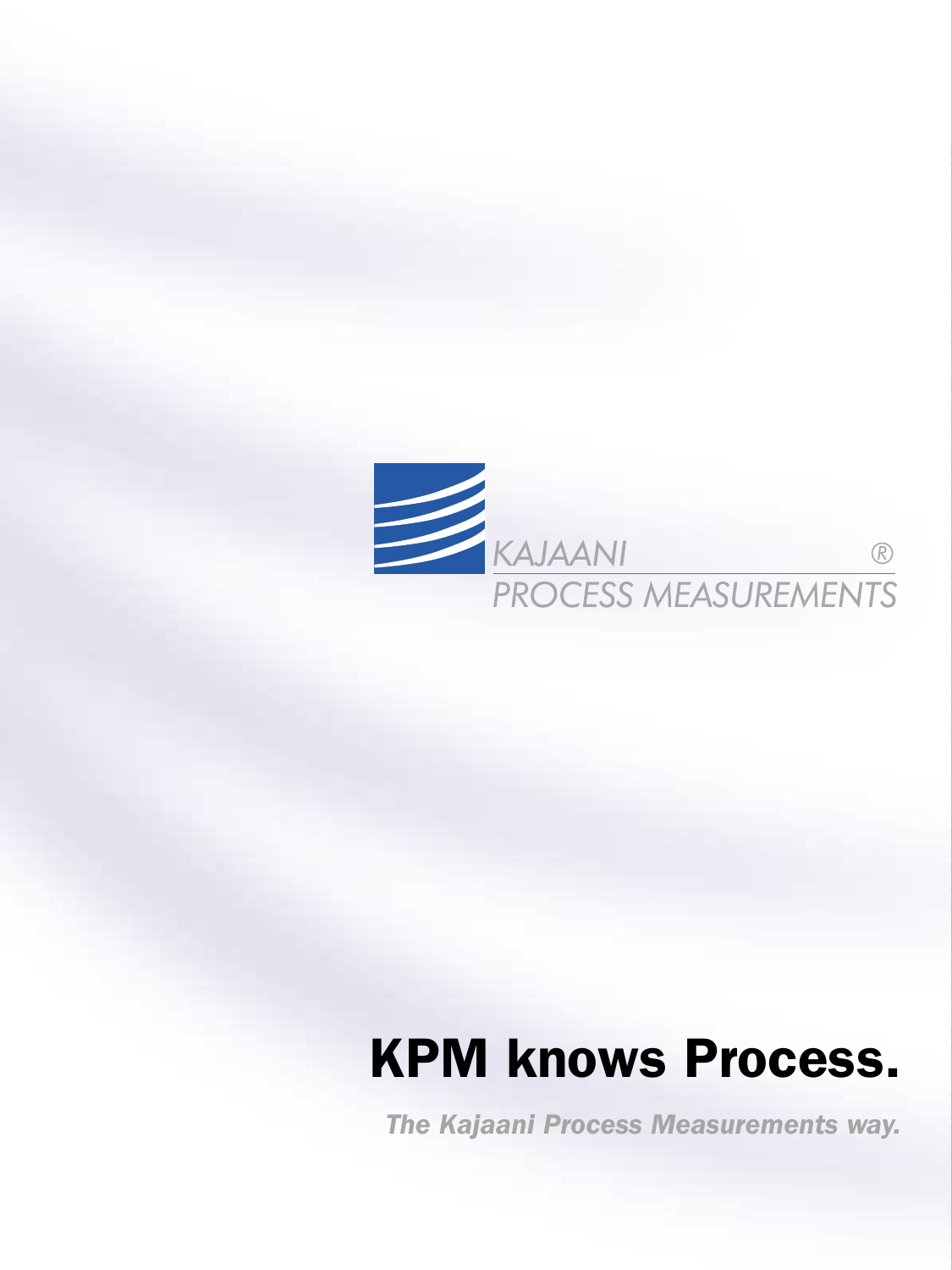

# KPM knows Process.

*The Kajaani Process Measurements way.*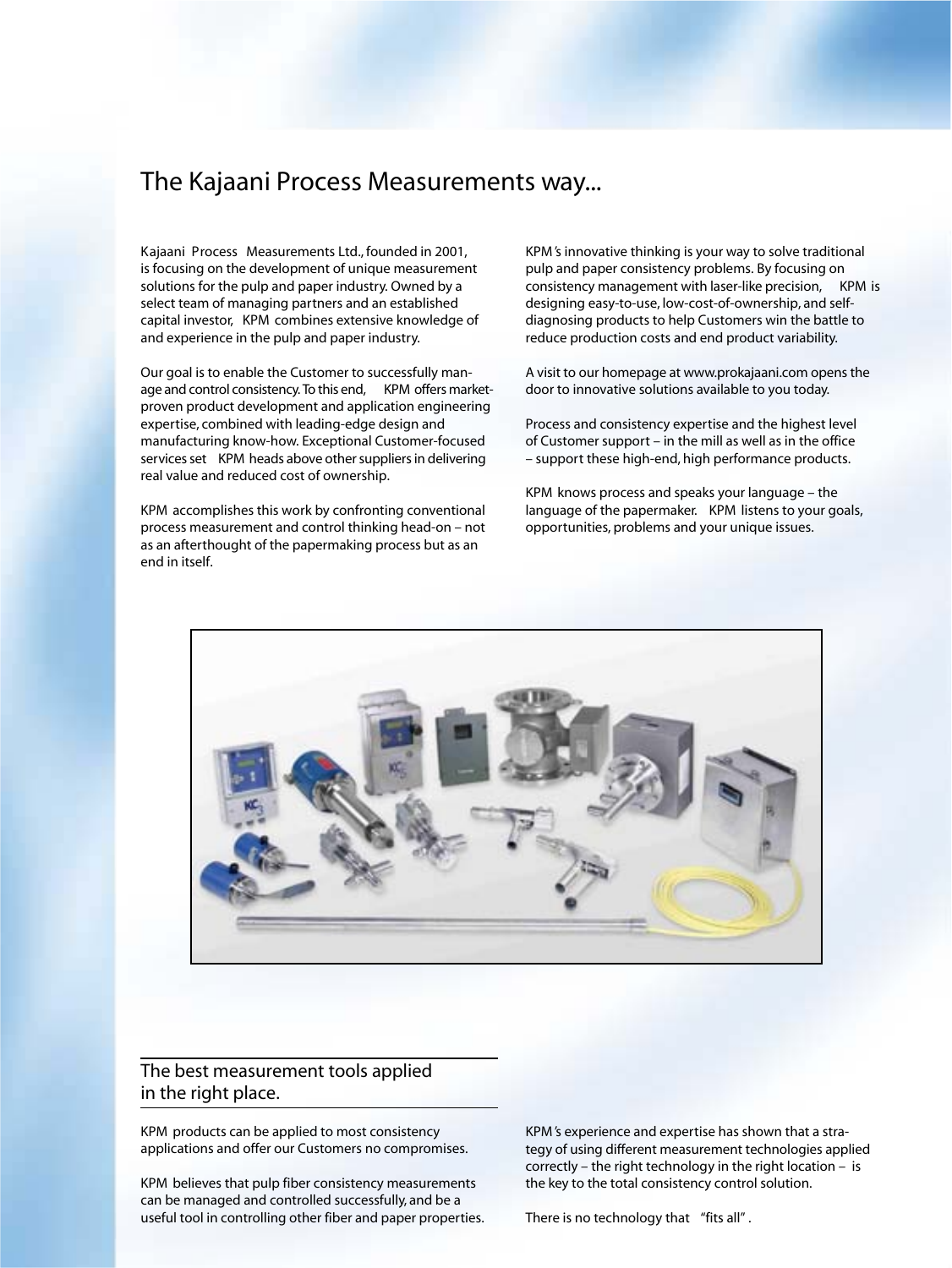## *The Kajaani Process Measurements way...*

Kajaani Process Measurements Ltd., founded in 2001, is focusing on the development of unique measurement solutions for the pulp and paper industry. Owned by a select team of managing partners and an established capital investor, KPM combines extensive knowledge of and experience in the pulp and paper industry.

Our goal is to enable the Customer to successfully manage and control consistency. To this end, KPM offers marketproven product development and application engineering expertise, combined with leading-edge design and manufacturing know-how. Exceptional Customer-focused services set KPM heads above other suppliers in delivering real value and reduced cost of ownership.

KPM accomplishes this work by confronting conventional process measurement and control thinking head-on – not as an afterthought of the papermaking process but as an end in itself.

KPM 's innovative thinking is your way to solve traditional pulp and paper consistency problems. By focusing on consistency management with laser-like precision, KPM is designing easy-to-use, low-cost-of-ownership, and selfdiagnosing products to help Customers win the battle to reduce production costs and end product variability.

A visit to our homepage at www.prokajaani.com opensthe door to innovative solutions available to you today.

Process and consistency expertise and the highest level of Customer support – in the mill as well as in the office – support these high-end, high performance products.

KPM knows process and speaks your language – the language of the papermaker. KPM listens to your goals, opportunities, problems and your unique issues.



## *The best measurement tools applied in the right place.*

KPM products can be applied to most consistency applications and offer our Customers no compromises.

KPM believes that pulp fiber consistency measurements can be managed and controlled successfully, and be a useful tool in controlling other fiber and paper properties. KPM 's experience and expertise has shown that a strategy of using different measurement technologies applied correctly – the right technology in the right location – is the key to the total consistency control solution.

There is no technology that *"fits all"* .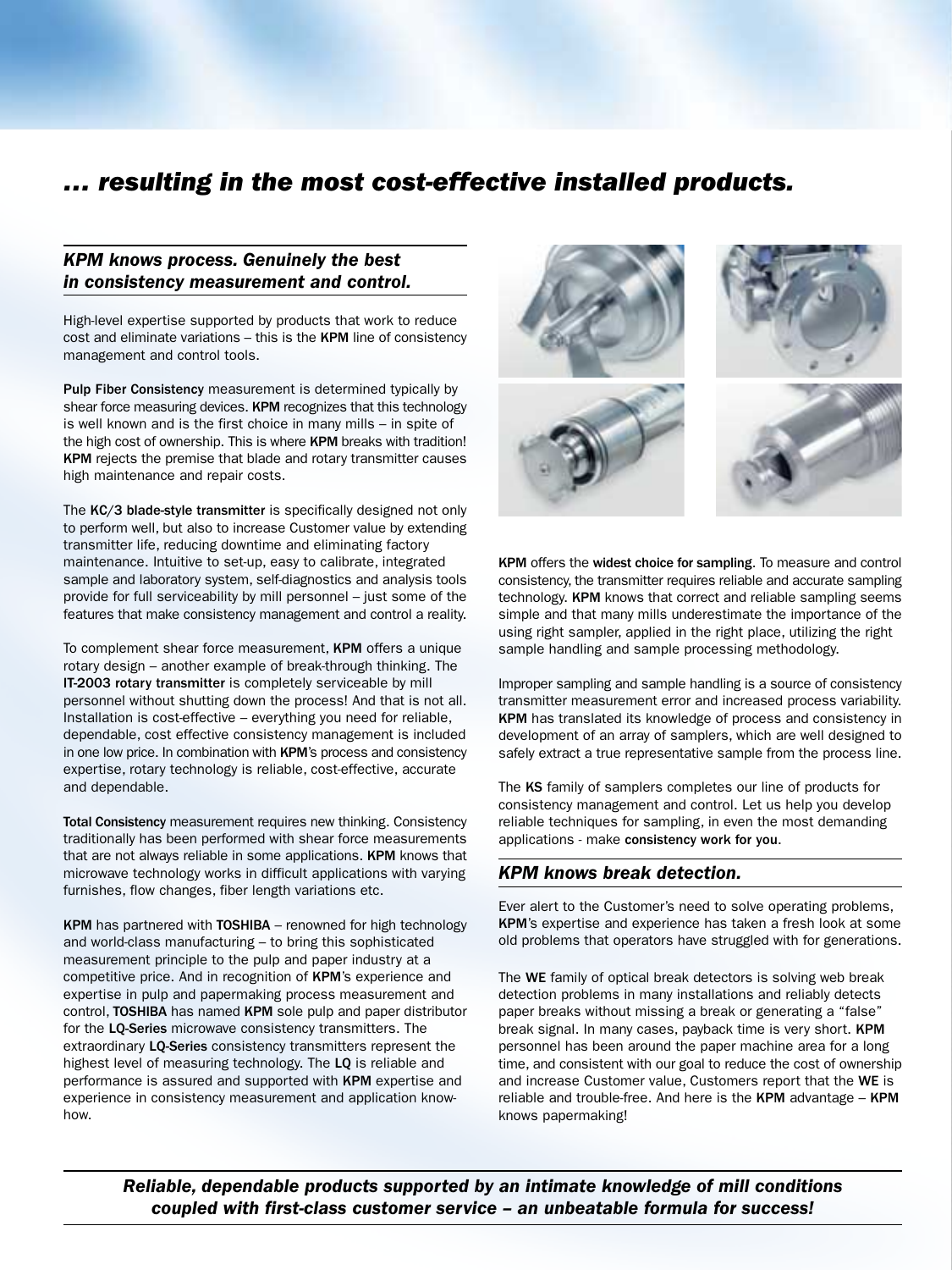# *… resulting in the most cost-effective installed products.*

### *KPM knows process. Genuinely the best in consistency measurement and control.*

High-level expertise supported by products that work to reduce cost and eliminate variations – this is the KPM line of consistency management and control tools.

Pulp Fiber Consistency measurement is determined typically by shear force measuring devices. KPM recognizes that this technology is well known and is the first choice in many mills – in spite of the high cost of ownership. This is where KPM breaks with tradition! KPM rejects the premise that blade and rotary transmitter causes high maintenance and repair costs.

The KC/3 blade-style transmitter is specifically designed not only to perform well, but also to increase Customer value by extending transmitter life, reducing downtime and eliminating factory maintenance. Intuitive to set-up, easy to calibrate, integrated sample and laboratory system, self-diagnostics and analysis tools provide for full serviceability by mill personnel – just some of the features that make consistency management and control a reality.

To complement shear force measurement, KPM offers a unique rotary design – another example of break-through thinking. The IT-2003 rotary transmitter is completely serviceable by mill personnel without shutting down the process! And that is not all. Installation is cost-effective – everything you need for reliable, dependable, cost effective consistency management is included in one low price. In combination with KPM's process and consistency expertise, rotary technology is reliable, cost-effective, accurate and dependable.

Total Consistency measurement requires new thinking. Consistency traditionally has been performed with shear force measurements that are not always reliable in some applications. KPM knows that microwave technology works in difficult applications with varying furnishes, flow changes, fiber length variations etc.

KPM has partnered with TOSHIBA – renowned for high technology and world-class manufacturing – to bring this sophisticated measurement principle to the pulp and paper industry at a competitive price. And in recognition of KPM's experience and expertise in pulp and papermaking process measurement and control, TOSHIBA has named KPM sole pulp and paper distributor for the LQ-Series microwave consistency transmitters. The extraordinary LQ-Series consistency transmitters represent the highest level of measuring technology. The LQ is reliable and performance is assured and supported with KPM expertise and experience in consistency measurement and application knowhow.



KPM offers the widest choice for sampling. To measure and control consistency, the transmitter requires reliable and accurate sampling technology. KPM knows that correct and reliable sampling seems simple and that many mills underestimate the importance of the using right sampler, applied in the right place, utilizing the right sample handling and sample processing methodology.

Improper sampling and sample handling is a source of consistency transmitter measurement error and increased process variability. KPM has translated its knowledge of process and consistency in development of an array of samplers, which are well designed to safely extract a true representative sample from the process line.

The KS family of samplers completes our line of products for consistency management and control. Let us help you develop reliable techniques for sampling, in even the most demanding applications - make consistency work for you.

#### *KPM knows break detection.*

Ever alert to the Customer's need to solve operating problems, KPM's expertise and experience has taken a fresh look at some old problems that operators have struggled with for generations.

The WE family of optical break detectors is solving web break detection problems in many installations and reliably detects paper breaks without missing a break or generating a "false" break signal. In many cases, payback time is very short. KPM personnel has been around the paper machine area for a long time, and consistent with our goal to reduce the cost of ownership and increase Customer value, Customers report that the WE is reliable and trouble-free. And here is the KPM advantage – KPM knows papermaking!

*Reliable, dependable products supported by an intimate knowledge of mill conditions coupled with first-class customer service – an unbeatable formula for success!*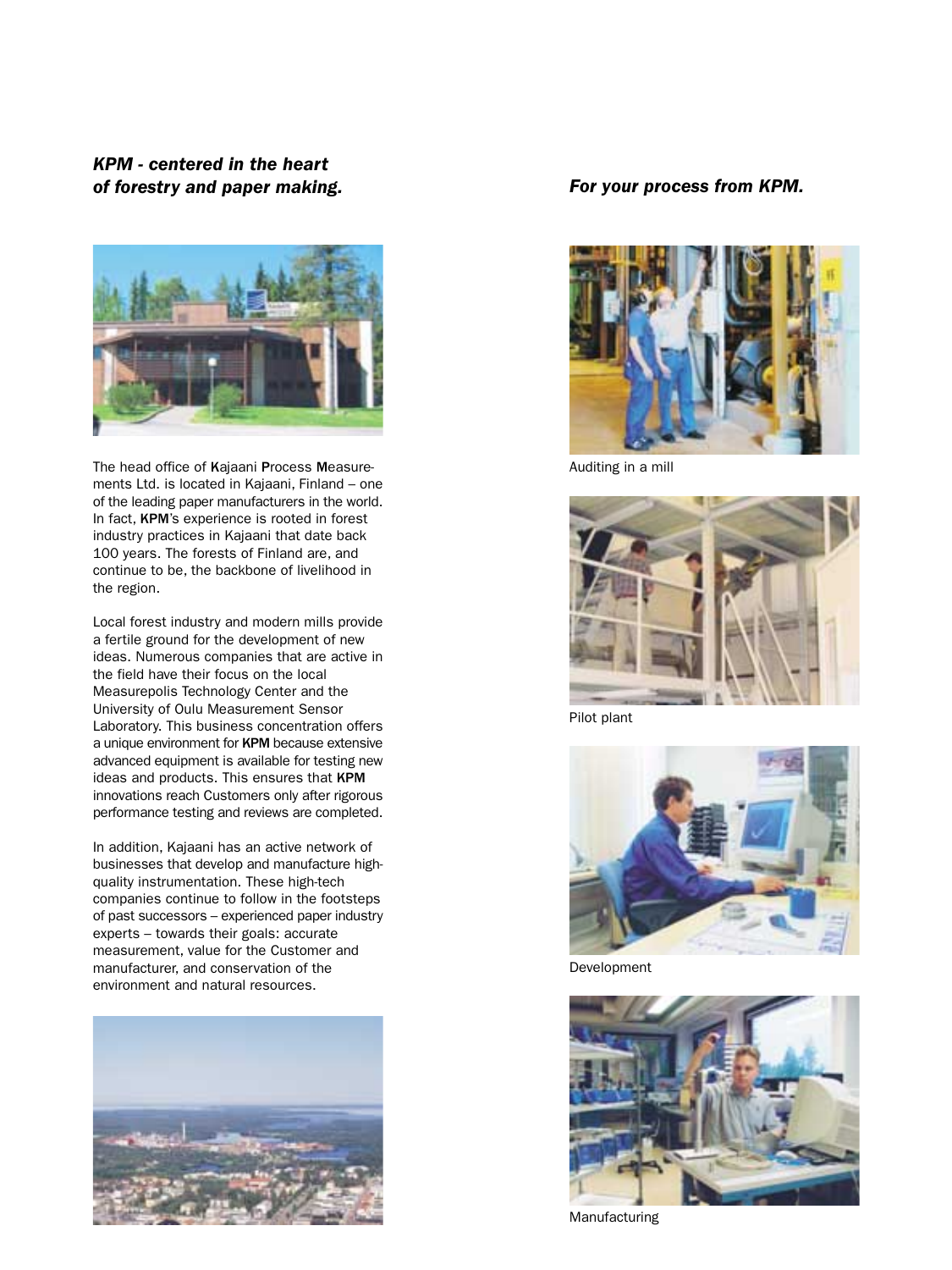*KPM - centered in the heart of forestry and paper making.*



The head office of Kajaani Process Measurements Ltd. is located in Kajaani, Finland – one of the leading paper manufacturers in the world. In fact, KPM's experience is rooted in forest industry practices in Kajaani that date back 100 years. The forests of Finland are, and continue to be, the backbone of livelihood in the region.

Local forest industry and modern mills provide a fertile ground for the development of new ideas. Numerous companies that are active in the field have their focus on the local Measurepolis Technology Center and the University of Oulu Measurement Sensor Laboratory. This business concentration offers a unique environment for KPM because extensive advanced equipment is available for testing new ideas and products. This ensures that KPM innovations reach Customers only after rigorous performance testing and reviews are completed.

In addition, Kajaani has an active network of businesses that develop and manufacture highquality instrumentation. These high-tech companies continue to follow in the footsteps of past successors – experienced paper industry experts – towards their goals: accurate measurement, value for the Customer and manufacturer, and conservation of the environment and natural resources.



#### *For your process from KPM.*



Auditing in a mill



Pilot plant



Development



Manufacturing